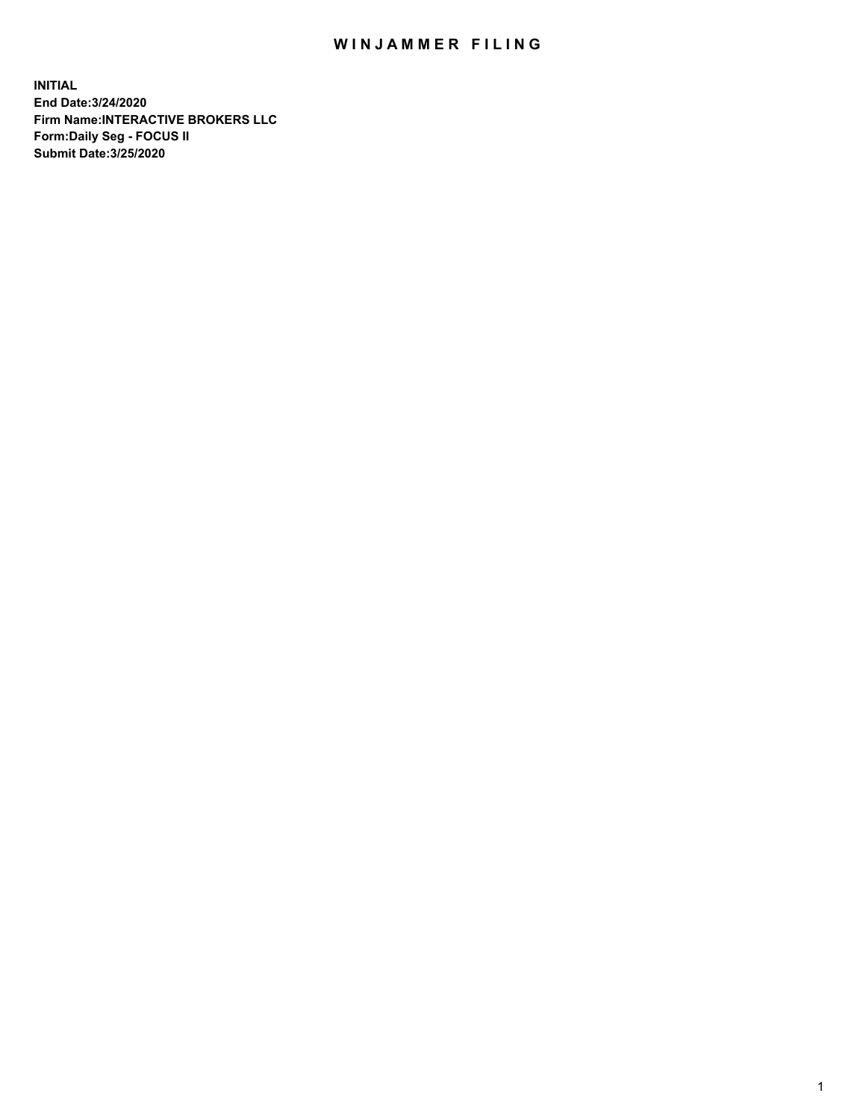## WIN JAMMER FILING

**INITIAL End Date:3/24/2020 Firm Name:INTERACTIVE BROKERS LLC Form:Daily Seg - FOCUS II Submit Date:3/25/2020**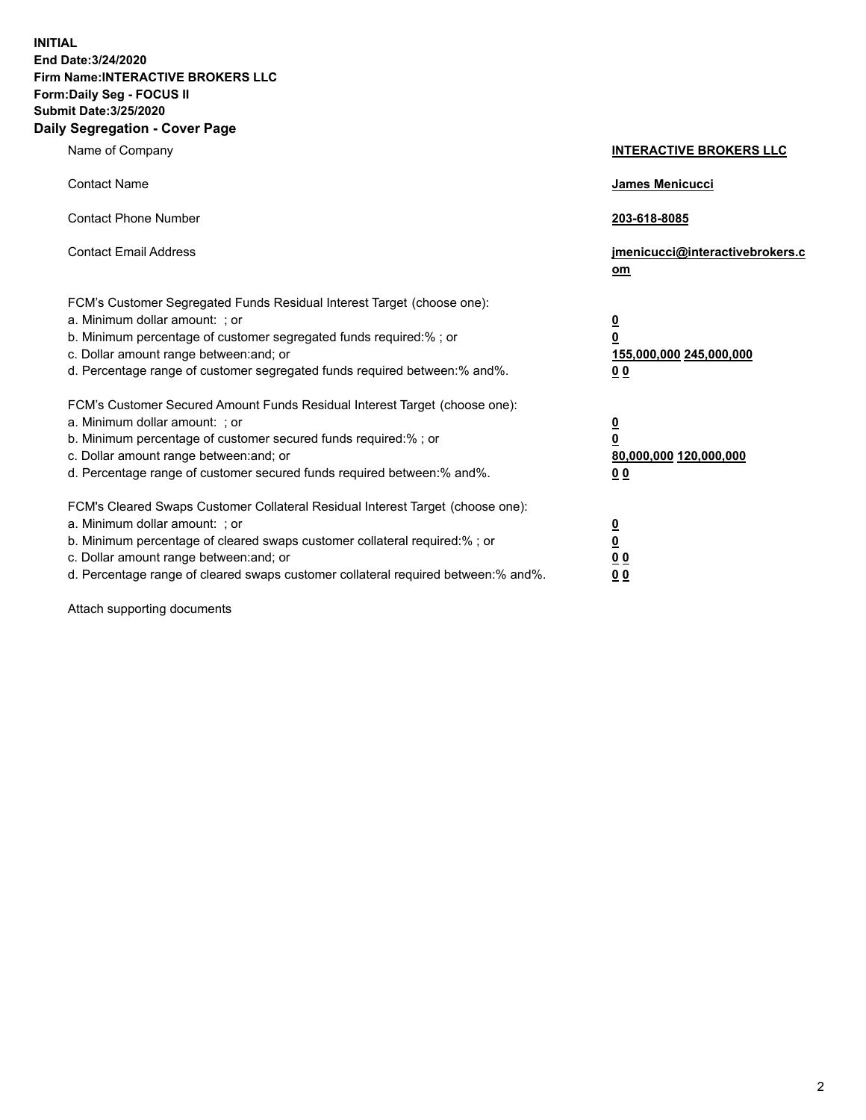**INITIAL End Date:3/24/2020 Firm Name:INTERACTIVE BROKERS LLC Form:Daily Seg - FOCUS II Submit Date:3/25/2020 Daily Segregation - Cover Page**

| Name of Company                                                                                                                                                                                                                                                                                                               | <b>INTERACTIVE BROKERS LLC</b>                                                                  |  |
|-------------------------------------------------------------------------------------------------------------------------------------------------------------------------------------------------------------------------------------------------------------------------------------------------------------------------------|-------------------------------------------------------------------------------------------------|--|
| <b>Contact Name</b>                                                                                                                                                                                                                                                                                                           | James Menicucci                                                                                 |  |
| <b>Contact Phone Number</b>                                                                                                                                                                                                                                                                                                   | 203-618-8085                                                                                    |  |
| <b>Contact Email Address</b>                                                                                                                                                                                                                                                                                                  | jmenicucci@interactivebrokers.c<br><u>om</u>                                                    |  |
| FCM's Customer Segregated Funds Residual Interest Target (choose one):<br>a. Minimum dollar amount: ; or<br>b. Minimum percentage of customer segregated funds required:% ; or<br>c. Dollar amount range between: and; or<br>d. Percentage range of customer segregated funds required between:% and%.                        | $\overline{\mathbf{0}}$<br>$\overline{\mathbf{0}}$<br>155,000,000 245,000,000<br>0 <sub>0</sub> |  |
| FCM's Customer Secured Amount Funds Residual Interest Target (choose one):<br>a. Minimum dollar amount: ; or<br>b. Minimum percentage of customer secured funds required:%; or<br>c. Dollar amount range between: and; or<br>d. Percentage range of customer secured funds required between:% and%.                           | $\overline{\mathbf{0}}$<br>$\overline{\mathbf{0}}$<br>80,000,000 120,000,000<br>0 <sub>0</sub>  |  |
| FCM's Cleared Swaps Customer Collateral Residual Interest Target (choose one):<br>a. Minimum dollar amount: ; or<br>b. Minimum percentage of cleared swaps customer collateral required:%; or<br>c. Dollar amount range between: and; or<br>d. Percentage range of cleared swaps customer collateral required between:% and%. | $\overline{\mathbf{0}}$<br>$\overline{\mathbf{0}}$<br>0 <sub>0</sub><br>0 <sub>0</sub>          |  |

Attach supporting documents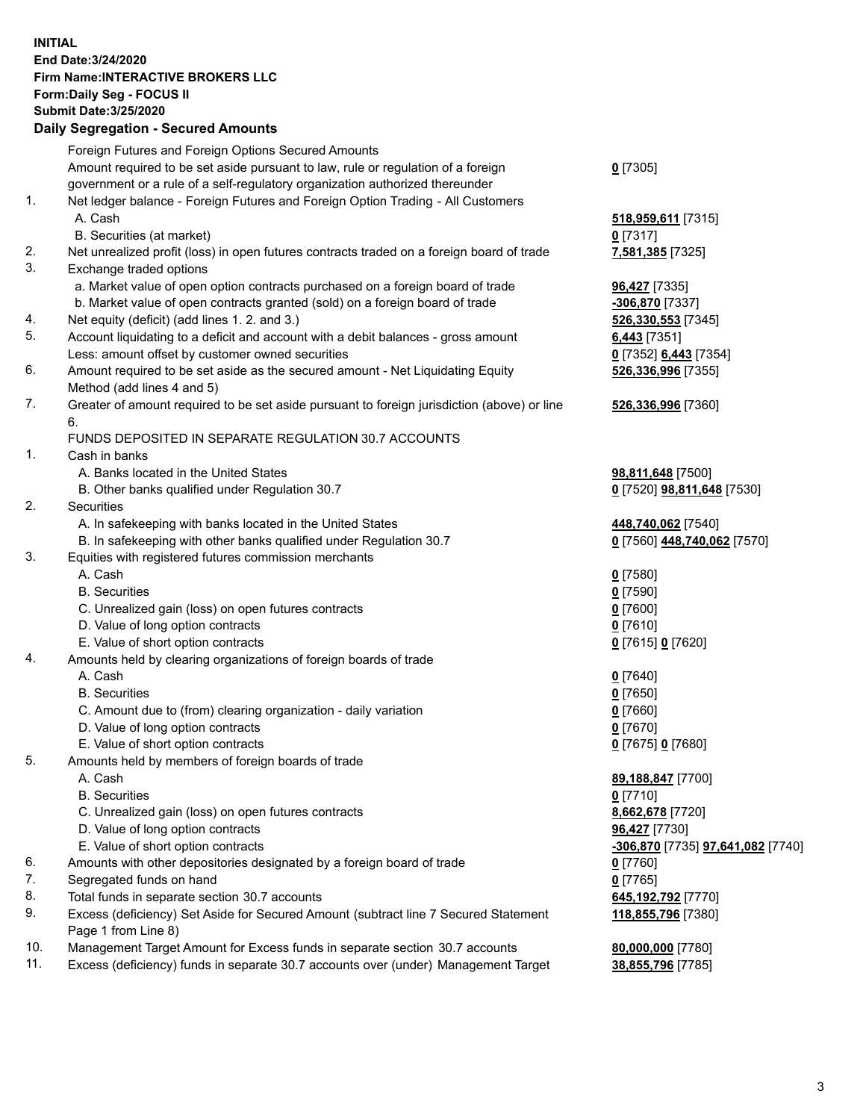**INITIAL End Date:3/24/2020 Firm Name:INTERACTIVE BROKERS LLC Form:Daily Seg - FOCUS II Submit Date:3/25/2020 Daily Segregation - Secured Amounts**

## Foreign Futures and Foreign Options Secured Amounts Amount required to be set aside pursuant to law, rule or regulation of a foreign government or a rule of a self-regulatory organization authorized thereunder **0** [7305] 1. Net ledger balance - Foreign Futures and Foreign Option Trading - All Customers A. Cash **518,959,611** [7315] B. Securities (at market) **0** [7317] 2. Net unrealized profit (loss) in open futures contracts traded on a foreign board of trade **7,581,385** [7325] 3. Exchange traded options a. Market value of open option contracts purchased on a foreign board of trade **96,427** [7335] b. Market value of open contracts granted (sold) on a foreign board of trade **-306,870** [7337] 4. Net equity (deficit) (add lines 1. 2. and 3.) **526,330,553** [7345] 5. Account liquidating to a deficit and account with a debit balances - gross amount **6,443** [7351] Less: amount offset by customer owned securities **0** [7352] **6,443** [7354] 6. Amount required to be set aside as the secured amount - Net Liquidating Equity Method (add lines 4 and 5) **526,336,996** [7355] 7. Greater of amount required to be set aside pursuant to foreign jurisdiction (above) or line 6. **526,336,996** [7360] FUNDS DEPOSITED IN SEPARATE REGULATION 30.7 ACCOUNTS 1. Cash in banks A. Banks located in the United States **98,811,648** [7500] B. Other banks qualified under Regulation 30.7 **0** [7520] **98,811,648** [7530] 2. Securities A. In safekeeping with banks located in the United States **448,740,062** [7540] B. In safekeeping with other banks qualified under Regulation 30.7 **0** [7560] **448,740,062** [7570] 3. Equities with registered futures commission merchants A. Cash **0** [7580] B. Securities **0** [7590] C. Unrealized gain (loss) on open futures contracts **0** [7600] D. Value of long option contracts **0** [7610] E. Value of short option contracts **0** [7615] **0** [7620] 4. Amounts held by clearing organizations of foreign boards of trade A. Cash **0** [7640] B. Securities **0** [7650] C. Amount due to (from) clearing organization - daily variation **0** [7660] D. Value of long option contracts **0** [7670] E. Value of short option contracts **0** [7675] **0** [7680] 5. Amounts held by members of foreign boards of trade A. Cash **89,188,847** [7700] B. Securities **0** [7710] C. Unrealized gain (loss) on open futures contracts **8,662,678** [7720] D. Value of long option contracts **96,427** [7730] E. Value of short option contracts **-306,870** [7735] **97,641,082** [7740] 6. Amounts with other depositories designated by a foreign board of trade **0** [7760] 7. Segregated funds on hand **0** [7765] 8. Total funds in separate section 30.7 accounts **645,192,792** [7770] 9. Excess (deficiency) Set Aside for Secured Amount (subtract line 7 Secured Statement Page 1 from Line 8) **118,855,796** [7380] 10. Management Target Amount for Excess funds in separate section 30.7 accounts **80,000,000** [7780] 11. Excess (deficiency) funds in separate 30.7 accounts over (under) Management Target **38,855,796** [7785]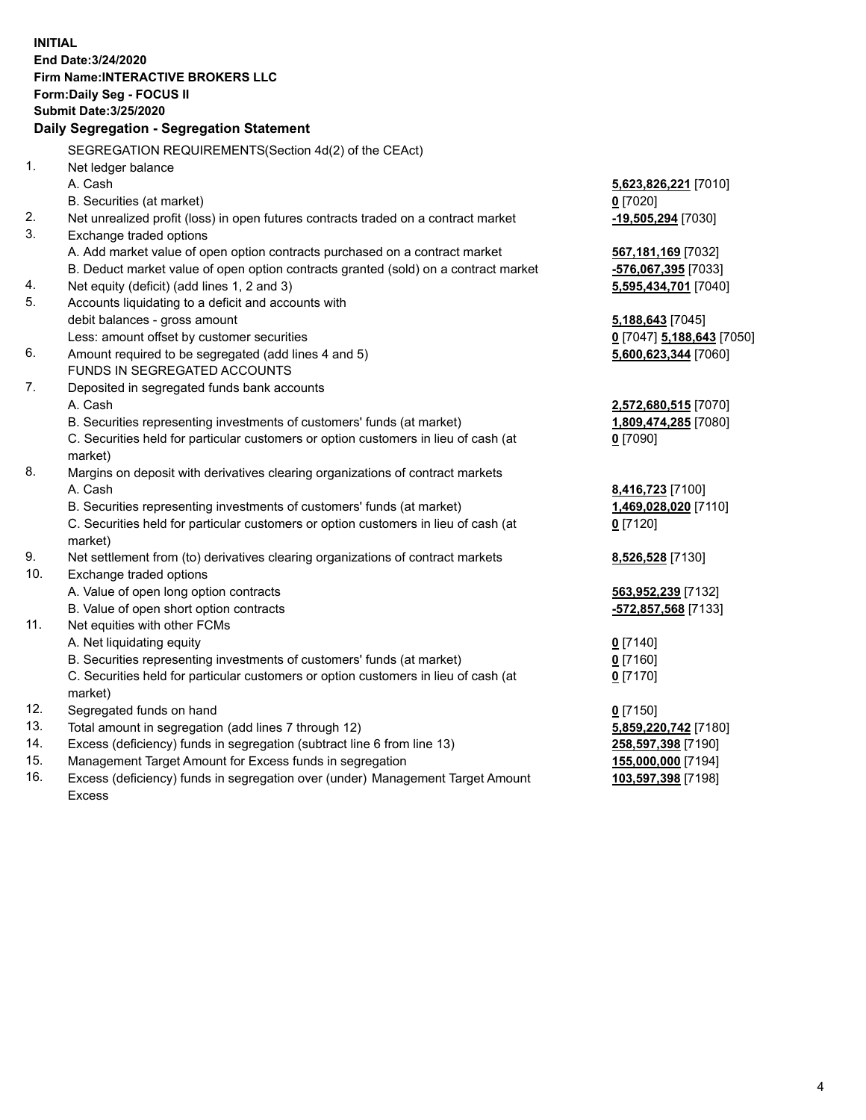**INITIAL End Date:3/24/2020 Firm Name:INTERACTIVE BROKERS LLC Form:Daily Seg - FOCUS II Submit Date:3/25/2020 Daily Segregation - Segregation Statement** SEGREGATION REQUIREMENTS(Section 4d(2) of the CEAct) 1. Net ledger balance A. Cash **5,623,826,221** [7010] B. Securities (at market) **0** [7020] 2. Net unrealized profit (loss) in open futures contracts traded on a contract market **-19,505,294** [7030] 3. Exchange traded options A. Add market value of open option contracts purchased on a contract market **567,181,169** [7032] B. Deduct market value of open option contracts granted (sold) on a contract market **-576,067,395** [7033] 4. Net equity (deficit) (add lines 1, 2 and 3) **5,595,434,701** [7040] 5. Accounts liquidating to a deficit and accounts with debit balances - gross amount **5,188,643** [7045] Less: amount offset by customer securities **0** [7047] **5,188,643** [7050] 6. Amount required to be segregated (add lines 4 and 5) **5,600,623,344** [7060] FUNDS IN SEGREGATED ACCOUNTS 7. Deposited in segregated funds bank accounts A. Cash **2,572,680,515** [7070] B. Securities representing investments of customers' funds (at market) **1,809,474,285** [7080] C. Securities held for particular customers or option customers in lieu of cash (at market) **0** [7090] 8. Margins on deposit with derivatives clearing organizations of contract markets A. Cash **8,416,723** [7100] B. Securities representing investments of customers' funds (at market) **1,469,028,020** [7110] C. Securities held for particular customers or option customers in lieu of cash (at market) **0** [7120] 9. Net settlement from (to) derivatives clearing organizations of contract markets **8,526,528** [7130] 10. Exchange traded options A. Value of open long option contracts **563,952,239** [7132] B. Value of open short option contracts **-572,857,568** [7133] 11. Net equities with other FCMs A. Net liquidating equity **0** [7140] B. Securities representing investments of customers' funds (at market) **0** [7160] C. Securities held for particular customers or option customers in lieu of cash (at market) **0** [7170] 12. Segregated funds on hand **0** [7150] 13. Total amount in segregation (add lines 7 through 12) **5,859,220,742** [7180] 14. Excess (deficiency) funds in segregation (subtract line 6 from line 13) **258,597,398** [7190] 15. Management Target Amount for Excess funds in segregation **155,000,000** [7194] 16. Excess (deficiency) funds in segregation over (under) Management Target Amount **103,597,398** [7198]

Excess